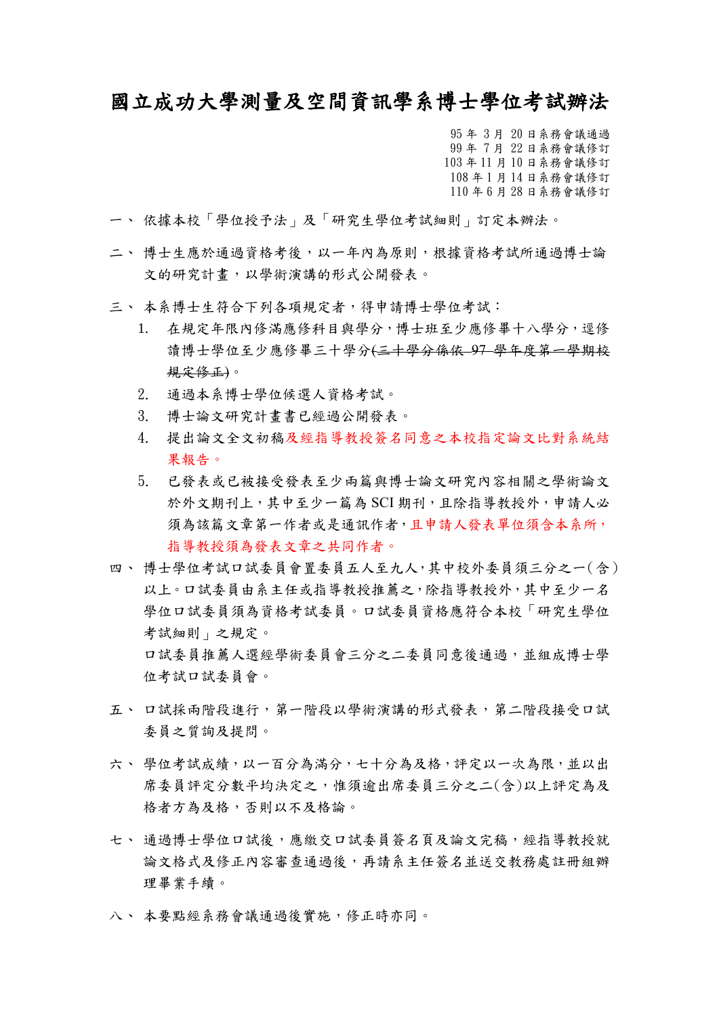## 國立成功大學測量及空間資訊學系博士學位考試辦法

 95 年 3 月 20 日系務會議通過 99 年 7 月 22 日系務會議修訂 103 年 11 月 10 日系務會議修訂 108 年 1 月 14 日系務會議修訂 110 年 6 月 28 日系務會議修訂

- 一、 依據本校「學位授予法」及「研究生學位考試細則」訂定本辦法。
- 二、博士生應於通過資格考後,以一年內為原則,根據資格考試所通過博士論 文的研究計畫,以學術演講的形式公開發表。
- 三、 本系博士生符合下列各項規定者,得申請博士學位考試:
	- 1. 在規定年限內修滿應修科目與學分,博士班至少應修畢十八學分,逕修 讀博士學位至少應修畢三十學分(三十學分係依 97 學年度第一學期校 規定修正)。
	- 2. 通過本系博士學位候選人資格考試。
	- 3. 博士論文研究計畫書已經過公開發表。
	- 4. 提出論文全文初稿及經指導教授簽名同意之本校指定論文比對系統結 果報告。
	- 5. 已發表或已被接受發表至少兩篇與博士論文研究內容相關之學術論文 於外文期刊上,其中至少一篇為 SCI 期刊,且除指導教授外,申請人必 須為該篇文章第一作者或是通訊作者,且申請人發表單位須含本系所, 指導教授須為發表文章之共同作者。
- 四、 博士學位考試口試委員會置委員五人至九人,其中校外委員須三分之一(含) 以上。口試委員由系主任或指導教授推薦之,除指導教授外,其中至少一名 學位口試委員須為資格考試委員。口試委員資格應符合本校「研究生學位 考試細則」之規定。 口試委員推薦人選經學術委員會三分之二委員同意後通過,並組成博士學 位考試口試委員會。
- 五、 口試採兩階段進行,第一階段以學術演講的形式發表,第二階段接受口試 委員之質詢及提問。
- 六、 學位考試成績,以一百分為滿分,七十分為及格,評定以一次為限,並以出 席委員評定分數平均決定之,惟須逾出席委員三分之二(含)以上評定為及 格者方為及格,否則以不及格論。
- 七、 通過博士學位口試後,應繳交口試委員簽名頁及論文完稿,經指導教授就 論文格式及修正內容審查通過後,再請系主任簽名並送交教務處註冊組辦 理畢業手續。
- 八、 本要點經系務會議通過後實施,修正時亦同。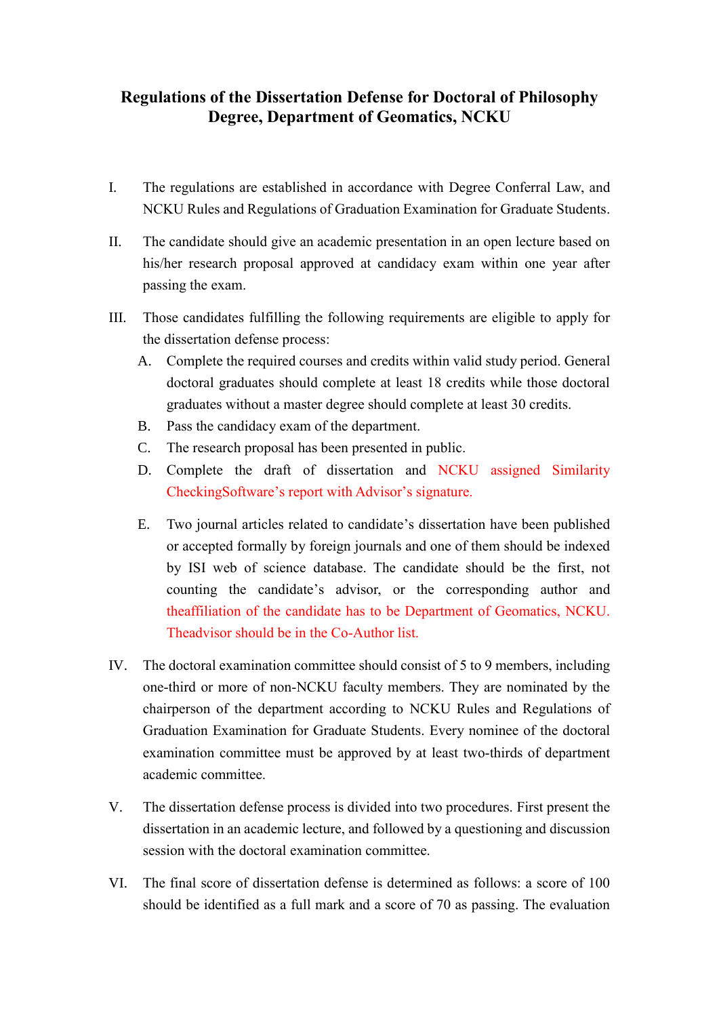## **Regulations of the Dissertation Defense for Doctoral of Philosophy Degree, Department of Geomatics, NCKU**

- I. The regulations are established in accordance with Degree Conferral Law, and NCKU Rules and Regulations of Graduation Examination for Graduate Students.
- II. The candidate should give an academic presentation in an open lecture based on his/her research proposal approved at candidacy exam within one year after passing the exam.
- III. Those candidates fulfilling the following requirements are eligible to apply for the dissertation defense process:
	- A. Complete the required courses and credits within valid study period. General doctoral graduates should complete at least 18 credits while those doctoral graduates without a master degree should complete at least 30 credits.
	- B. Pass the candidacy exam of the department.
	- C. The research proposal has been presented in public.
	- D. Complete the draft of dissertation and NCKU assigned Similarity CheckingSoftware's report with Advisor's signature.
	- E. Two journal articles related to candidate's dissertation have been published or accepted formally by foreign journals and one of them should be indexed by ISI web of science database. The candidate should be the first, not counting the candidate's advisor, or the corresponding author and theaffiliation of the candidate has to be Department of Geomatics, NCKU. Theadvisor should be in the Co-Author list.
- IV. The doctoral examination committee should consist of 5 to 9 members, including one-third or more of non-NCKU faculty members. They are nominated by the chairperson of the department according to NCKU Rules and Regulations of Graduation Examination for Graduate Students. Every nominee of the doctoral examination committee must be approved by at least two-thirds of department academic committee.
- V. The dissertation defense process is divided into two procedures. First present the dissertation in an academic lecture, and followed by a questioning and discussion session with the doctoral examination committee.
- VI. The final score of dissertation defense is determined as follows: a score of 100 should be identified as a full mark and a score of 70 as passing. The evaluation